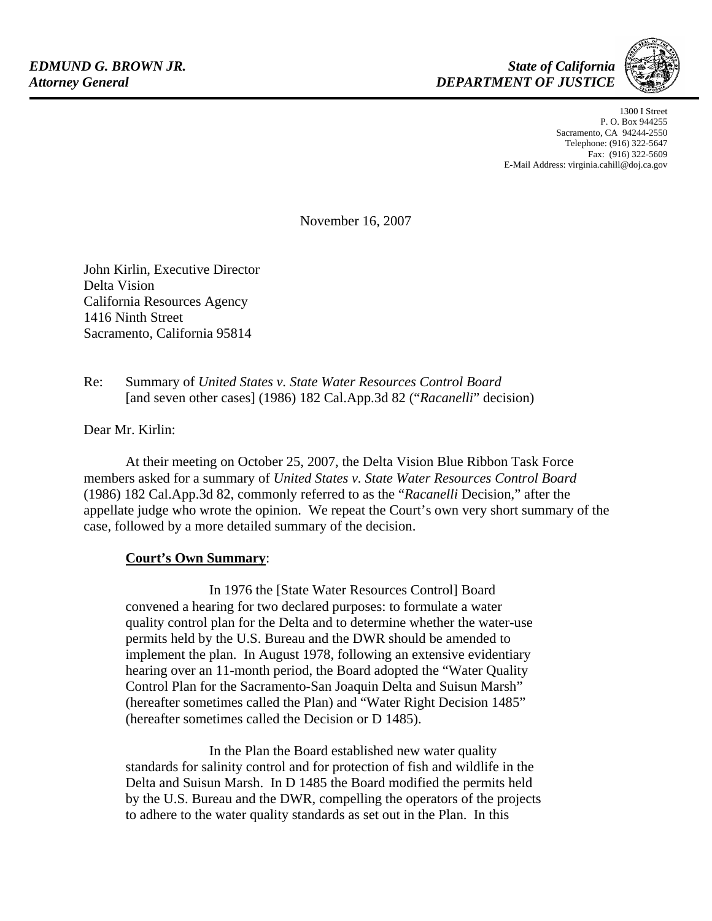

1300 I Street P. O. Box 944255 Sacramento, CA 94244-2550 Telephone: (916) 322-5647 Fax: (916) 322-5609 E-Mail Address: virginia.cahill@doj.ca.gov

November 16, 2007

John Kirlin, Executive Director Delta Vision California Resources Agency 1416 Ninth Street Sacramento, California 95814

Re: Summary of *United States v. State Water Resources Control Board* [and seven other cases] (1986) 182 Cal.App.3d 82 ("*Racanelli*" decision)

Dear Mr. Kirlin:

 At their meeting on October 25, 2007, the Delta Vision Blue Ribbon Task Force members asked for a summary of *United States v. State Water Resources Control Board* (1986) 182 Cal.App.3d 82, commonly referred to as the "*Racanelli* Decision," after the appellate judge who wrote the opinion. We repeat the Court's own very short summary of the case, followed by a more detailed summary of the decision.

## **Court's Own Summary**:

 In 1976 the [State Water Resources Control] Board convened a hearing for two declared purposes: to formulate a water quality control plan for the Delta and to determine whether the water-use permits held by the U.S. Bureau and the DWR should be amended to implement the plan. In August 1978, following an extensive evidentiary hearing over an 11-month period, the Board adopted the "Water Quality Control Plan for the Sacramento-San Joaquin Delta and Suisun Marsh" (hereafter sometimes called the Plan) and "Water Right Decision 1485" (hereafter sometimes called the Decision or D 1485).

 In the Plan the Board established new water quality standards for salinity control and for protection of fish and wildlife in the Delta and Suisun Marsh. In D 1485 the Board modified the permits held by the U.S. Bureau and the DWR, compelling the operators of the projects to adhere to the water quality standards as set out in the Plan. In this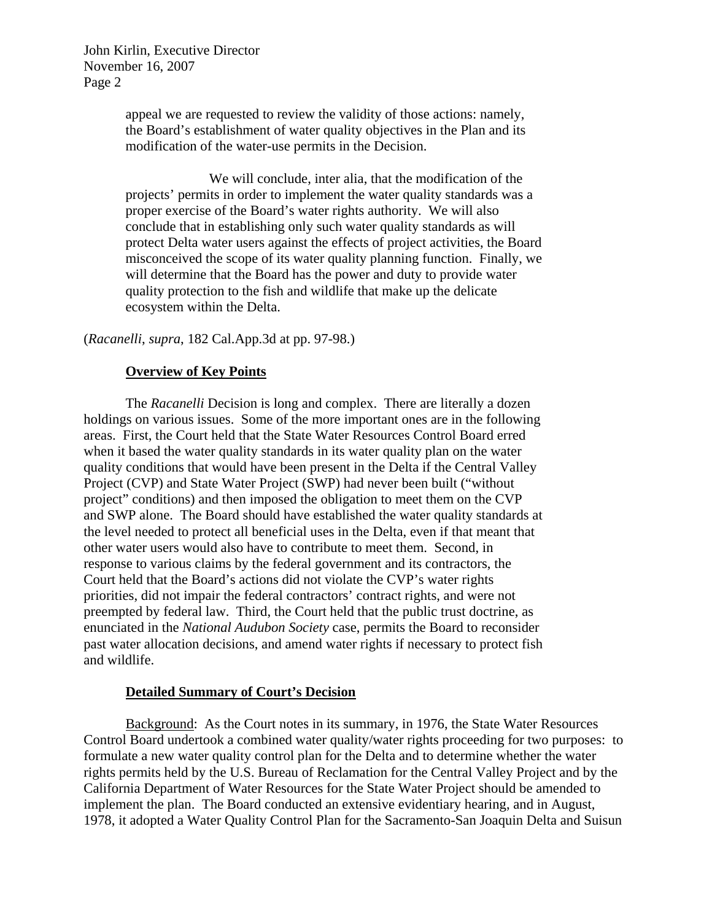> appeal we are requested to review the validity of those actions: namely, the Board's establishment of water quality objectives in the Plan and its modification of the water-use permits in the Decision.

 We will conclude, inter alia, that the modification of the projects' permits in order to implement the water quality standards was a proper exercise of the Board's water rights authority. We will also conclude that in establishing only such water quality standards as will protect Delta water users against the effects of project activities, the Board misconceived the scope of its water quality planning function. Finally, we will determine that the Board has the power and duty to provide water quality protection to the fish and wildlife that make up the delicate ecosystem within the Delta.

(*Racanelli*, *supra*, 182 Cal.App.3d at pp. 97-98.)

#### **Overview of Key Points**

 The *Racanelli* Decision is long and complex. There are literally a dozen holdings on various issues. Some of the more important ones are in the following areas. First, the Court held that the State Water Resources Control Board erred when it based the water quality standards in its water quality plan on the water quality conditions that would have been present in the Delta if the Central Valley Project (CVP) and State Water Project (SWP) had never been built ("without project" conditions) and then imposed the obligation to meet them on the CVP and SWP alone. The Board should have established the water quality standards at the level needed to protect all beneficial uses in the Delta, even if that meant that other water users would also have to contribute to meet them. Second, in response to various claims by the federal government and its contractors, the Court held that the Board's actions did not violate the CVP's water rights priorities, did not impair the federal contractors' contract rights, and were not preempted by federal law. Third, the Court held that the public trust doctrine, as enunciated in the *National Audubon Society* case, permits the Board to reconsider past water allocation decisions, and amend water rights if necessary to protect fish and wildlife.

#### **Detailed Summary of Court's Decision**

 Background: As the Court notes in its summary, in 1976, the State Water Resources Control Board undertook a combined water quality/water rights proceeding for two purposes: to formulate a new water quality control plan for the Delta and to determine whether the water rights permits held by the U.S. Bureau of Reclamation for the Central Valley Project and by the California Department of Water Resources for the State Water Project should be amended to implement the plan. The Board conducted an extensive evidentiary hearing, and in August, 1978, it adopted a Water Quality Control Plan for the Sacramento-San Joaquin Delta and Suisun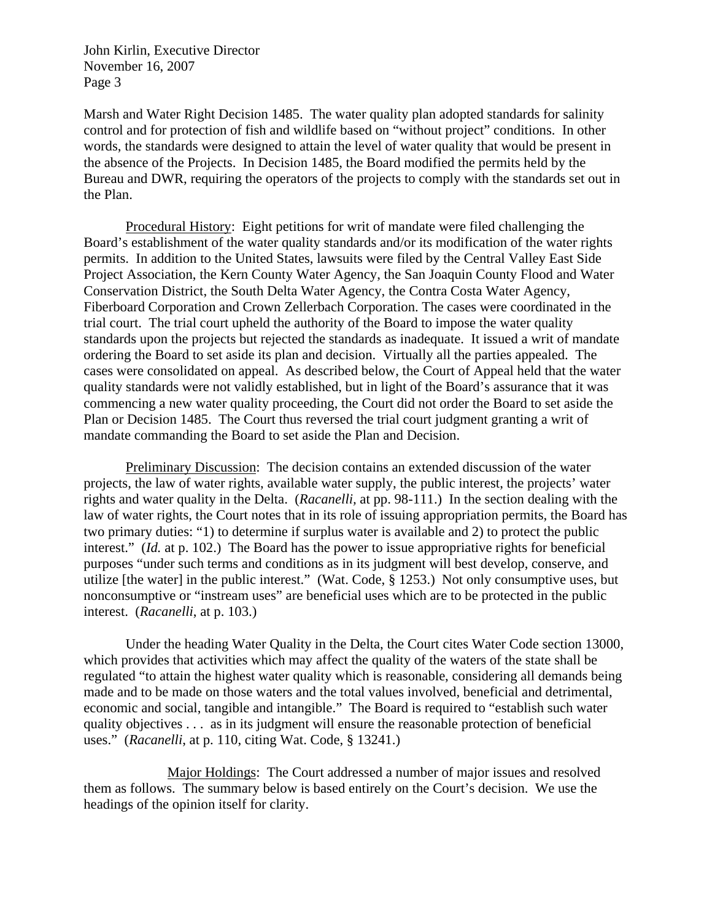Marsh and Water Right Decision 1485. The water quality plan adopted standards for salinity control and for protection of fish and wildlife based on "without project" conditions. In other words, the standards were designed to attain the level of water quality that would be present in the absence of the Projects. In Decision 1485, the Board modified the permits held by the Bureau and DWR, requiring the operators of the projects to comply with the standards set out in the Plan.

 Procedural History: Eight petitions for writ of mandate were filed challenging the Board's establishment of the water quality standards and/or its modification of the water rights permits. In addition to the United States, lawsuits were filed by the Central Valley East Side Project Association, the Kern County Water Agency, the San Joaquin County Flood and Water Conservation District, the South Delta Water Agency, the Contra Costa Water Agency, Fiberboard Corporation and Crown Zellerbach Corporation. The cases were coordinated in the trial court. The trial court upheld the authority of the Board to impose the water quality standards upon the projects but rejected the standards as inadequate. It issued a writ of mandate ordering the Board to set aside its plan and decision. Virtually all the parties appealed. The cases were consolidated on appeal. As described below, the Court of Appeal held that the water quality standards were not validly established, but in light of the Board's assurance that it was commencing a new water quality proceeding, the Court did not order the Board to set aside the Plan or Decision 1485. The Court thus reversed the trial court judgment granting a writ of mandate commanding the Board to set aside the Plan and Decision.

 Preliminary Discussion: The decision contains an extended discussion of the water projects, the law of water rights, available water supply, the public interest, the projects' water rights and water quality in the Delta. (*Racanelli,* at pp. 98-111.) In the section dealing with the law of water rights, the Court notes that in its role of issuing appropriation permits, the Board has two primary duties: "1) to determine if surplus water is available and 2) to protect the public interest." (*Id.* at p. 102.) The Board has the power to issue appropriative rights for beneficial purposes "under such terms and conditions as in its judgment will best develop, conserve, and utilize [the water] in the public interest." (Wat. Code, § 1253.) Not only consumptive uses, but nonconsumptive or "instream uses" are beneficial uses which are to be protected in the public interest. (*Racanelli*, at p. 103.)

 Under the heading Water Quality in the Delta, the Court cites Water Code section 13000, which provides that activities which may affect the quality of the waters of the state shall be regulated "to attain the highest water quality which is reasonable, considering all demands being made and to be made on those waters and the total values involved, beneficial and detrimental, economic and social, tangible and intangible." The Board is required to "establish such water quality objectives . . . as in its judgment will ensure the reasonable protection of beneficial uses." (*Racanelli*, at p. 110, citing Wat. Code, § 13241.)

 Major Holdings: The Court addressed a number of major issues and resolved them as follows. The summary below is based entirely on the Court's decision. We use the headings of the opinion itself for clarity.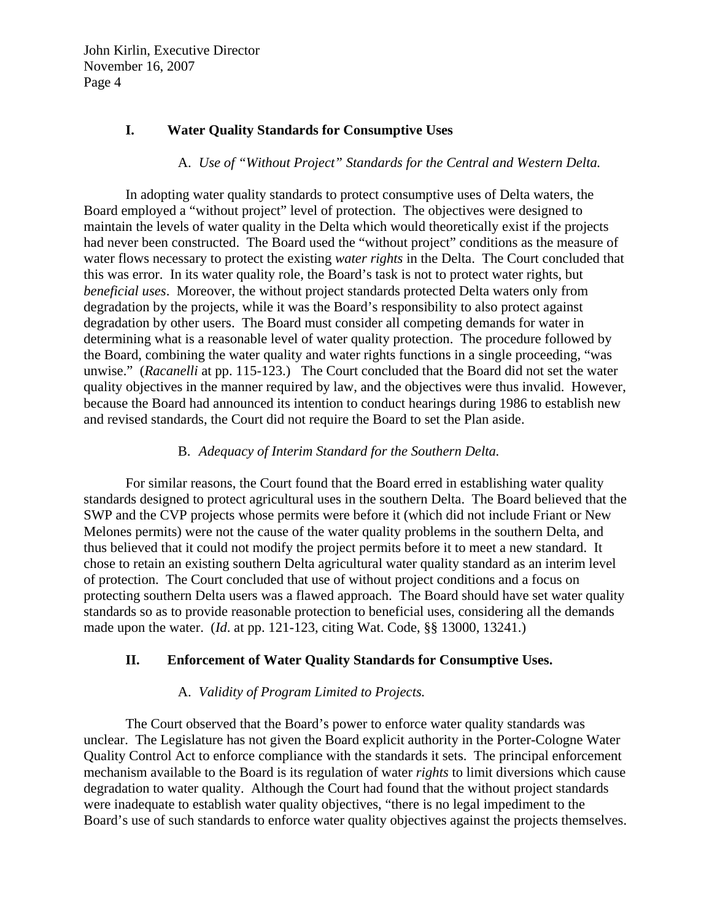# **I. Water Quality Standards for Consumptive Uses**

## A. *Use of "Without Project" Standards for the Central and Western Delta.*

In adopting water quality standards to protect consumptive uses of Delta waters, the Board employed a "without project" level of protection. The objectives were designed to maintain the levels of water quality in the Delta which would theoretically exist if the projects had never been constructed. The Board used the "without project" conditions as the measure of water flows necessary to protect the existing *water rights* in the Delta. The Court concluded that this was error. In its water quality role, the Board's task is not to protect water rights, but *beneficial uses*. Moreover, the without project standards protected Delta waters only from degradation by the projects, while it was the Board's responsibility to also protect against degradation by other users. The Board must consider all competing demands for water in determining what is a reasonable level of water quality protection. The procedure followed by the Board, combining the water quality and water rights functions in a single proceeding, "was unwise." (*Racanelli* at pp. 115-123.) The Court concluded that the Board did not set the water quality objectives in the manner required by law, and the objectives were thus invalid. However, because the Board had announced its intention to conduct hearings during 1986 to establish new and revised standards, the Court did not require the Board to set the Plan aside.

#### B. *Adequacy of Interim Standard for the Southern Delta.*

For similar reasons, the Court found that the Board erred in establishing water quality standards designed to protect agricultural uses in the southern Delta. The Board believed that the SWP and the CVP projects whose permits were before it (which did not include Friant or New Melones permits) were not the cause of the water quality problems in the southern Delta, and thus believed that it could not modify the project permits before it to meet a new standard. It chose to retain an existing southern Delta agricultural water quality standard as an interim level of protection. The Court concluded that use of without project conditions and a focus on protecting southern Delta users was a flawed approach. The Board should have set water quality standards so as to provide reasonable protection to beneficial uses, considering all the demands made upon the water. (*Id*. at pp. 121-123, citing Wat. Code, §§ 13000, 13241.)

## **II. Enforcement of Water Quality Standards for Consumptive Uses.**

## A. *Validity of Program Limited to Projects.*

The Court observed that the Board's power to enforce water quality standards was unclear. The Legislature has not given the Board explicit authority in the Porter-Cologne Water Quality Control Act to enforce compliance with the standards it sets. The principal enforcement mechanism available to the Board is its regulation of water *rights* to limit diversions which cause degradation to water quality. Although the Court had found that the without project standards were inadequate to establish water quality objectives, "there is no legal impediment to the Board's use of such standards to enforce water quality objectives against the projects themselves.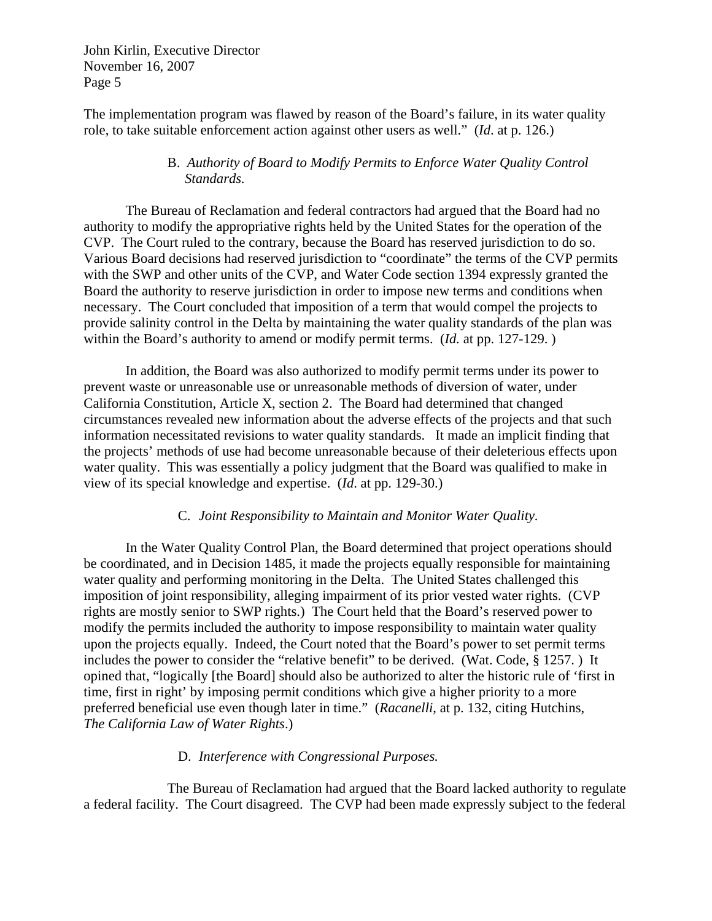The implementation program was flawed by reason of the Board's failure, in its water quality role, to take suitable enforcement action against other users as well." (*Id*. at p. 126.)

## B. *Authority of Board to Modify Permits to Enforce Water Quality Control Standards.*

 The Bureau of Reclamation and federal contractors had argued that the Board had no authority to modify the appropriative rights held by the United States for the operation of the CVP. The Court ruled to the contrary, because the Board has reserved jurisdiction to do so. Various Board decisions had reserved jurisdiction to "coordinate" the terms of the CVP permits with the SWP and other units of the CVP, and Water Code section 1394 expressly granted the Board the authority to reserve jurisdiction in order to impose new terms and conditions when necessary. The Court concluded that imposition of a term that would compel the projects to provide salinity control in the Delta by maintaining the water quality standards of the plan was within the Board's authority to amend or modify permit terms. (*Id.* at pp. 127-129. )

 In addition, the Board was also authorized to modify permit terms under its power to prevent waste or unreasonable use or unreasonable methods of diversion of water, under California Constitution, Article X, section 2. The Board had determined that changed circumstances revealed new information about the adverse effects of the projects and that such information necessitated revisions to water quality standards. It made an implicit finding that the projects' methods of use had become unreasonable because of their deleterious effects upon water quality. This was essentially a policy judgment that the Board was qualified to make in view of its special knowledge and expertise. (*Id*. at pp. 129-30.)

## C. *Joint Responsibility to Maintain and Monitor Water Quality.*

In the Water Quality Control Plan, the Board determined that project operations should be coordinated, and in Decision 1485, it made the projects equally responsible for maintaining water quality and performing monitoring in the Delta. The United States challenged this imposition of joint responsibility, alleging impairment of its prior vested water rights. (CVP rights are mostly senior to SWP rights.) The Court held that the Board's reserved power to modify the permits included the authority to impose responsibility to maintain water quality upon the projects equally. Indeed, the Court noted that the Board's power to set permit terms includes the power to consider the "relative benefit" to be derived. (Wat. Code, § 1257. ) It opined that, "logically [the Board] should also be authorized to alter the historic rule of 'first in time, first in right' by imposing permit conditions which give a higher priority to a more preferred beneficial use even though later in time." (*Racanelli*, at p. 132, citing Hutchins, *The California Law of Water Rights*.)

## D. *Interference with Congressional Purposes.*

The Bureau of Reclamation had argued that the Board lacked authority to regulate a federal facility. The Court disagreed. The CVP had been made expressly subject to the federal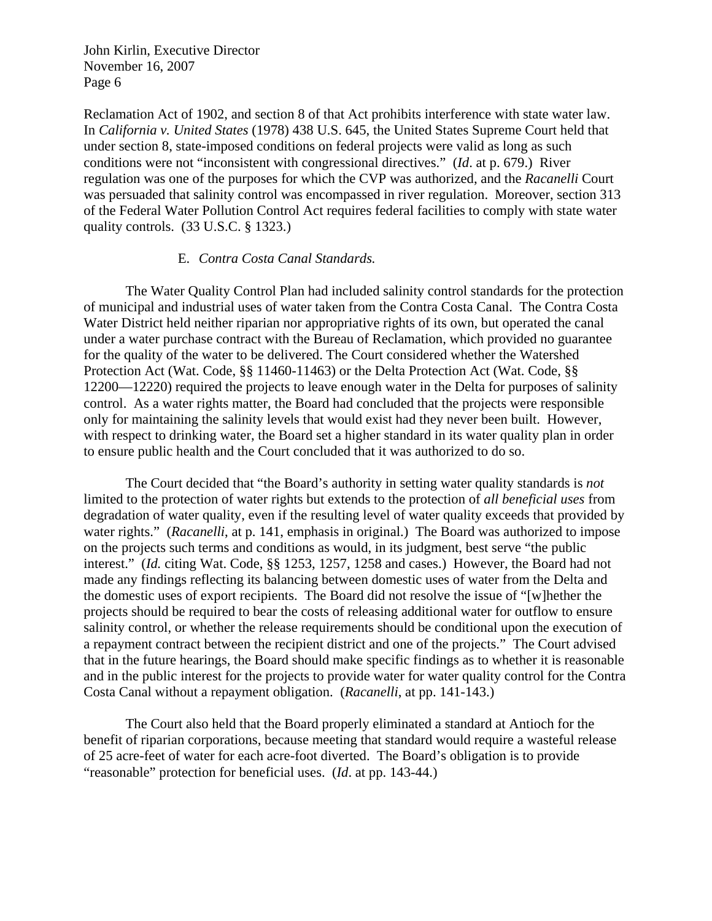Reclamation Act of 1902, and section 8 of that Act prohibits interference with state water law. In *California v. United States* (1978) 438 U.S. 645, the United States Supreme Court held that under section 8, state-imposed conditions on federal projects were valid as long as such conditions were not "inconsistent with congressional directives." (*Id*. at p. 679.) River regulation was one of the purposes for which the CVP was authorized, and the *Racanelli* Court was persuaded that salinity control was encompassed in river regulation. Moreover, section 313 of the Federal Water Pollution Control Act requires federal facilities to comply with state water quality controls. (33 U.S.C. § 1323.)

#### E. *Contra Costa Canal Standards.*

The Water Quality Control Plan had included salinity control standards for the protection of municipal and industrial uses of water taken from the Contra Costa Canal. The Contra Costa Water District held neither riparian nor appropriative rights of its own, but operated the canal under a water purchase contract with the Bureau of Reclamation, which provided no guarantee for the quality of the water to be delivered. The Court considered whether the Watershed Protection Act (Wat. Code, §§ 11460-11463) or the Delta Protection Act (Wat. Code, §§ 12200—12220) required the projects to leave enough water in the Delta for purposes of salinity control. As a water rights matter, the Board had concluded that the projects were responsible only for maintaining the salinity levels that would exist had they never been built. However, with respect to drinking water, the Board set a higher standard in its water quality plan in order to ensure public health and the Court concluded that it was authorized to do so.

 The Court decided that "the Board's authority in setting water quality standards is *not*  limited to the protection of water rights but extends to the protection of *all beneficial uses* from degradation of water quality, even if the resulting level of water quality exceeds that provided by water rights." (*Racanelli*, at p. 141, emphasis in original.) The Board was authorized to impose on the projects such terms and conditions as would, in its judgment, best serve "the public interest." (*Id.* citing Wat. Code, §§ 1253, 1257, 1258 and cases.) However, the Board had not made any findings reflecting its balancing between domestic uses of water from the Delta and the domestic uses of export recipients. The Board did not resolve the issue of "[w]hether the projects should be required to bear the costs of releasing additional water for outflow to ensure salinity control, or whether the release requirements should be conditional upon the execution of a repayment contract between the recipient district and one of the projects." The Court advised that in the future hearings, the Board should make specific findings as to whether it is reasonable and in the public interest for the projects to provide water for water quality control for the Contra Costa Canal without a repayment obligation. (*Racanelli*, at pp. 141-143.)

 The Court also held that the Board properly eliminated a standard at Antioch for the benefit of riparian corporations, because meeting that standard would require a wasteful release of 25 acre-feet of water for each acre-foot diverted. The Board's obligation is to provide "reasonable" protection for beneficial uses. (*Id*. at pp. 143-44.)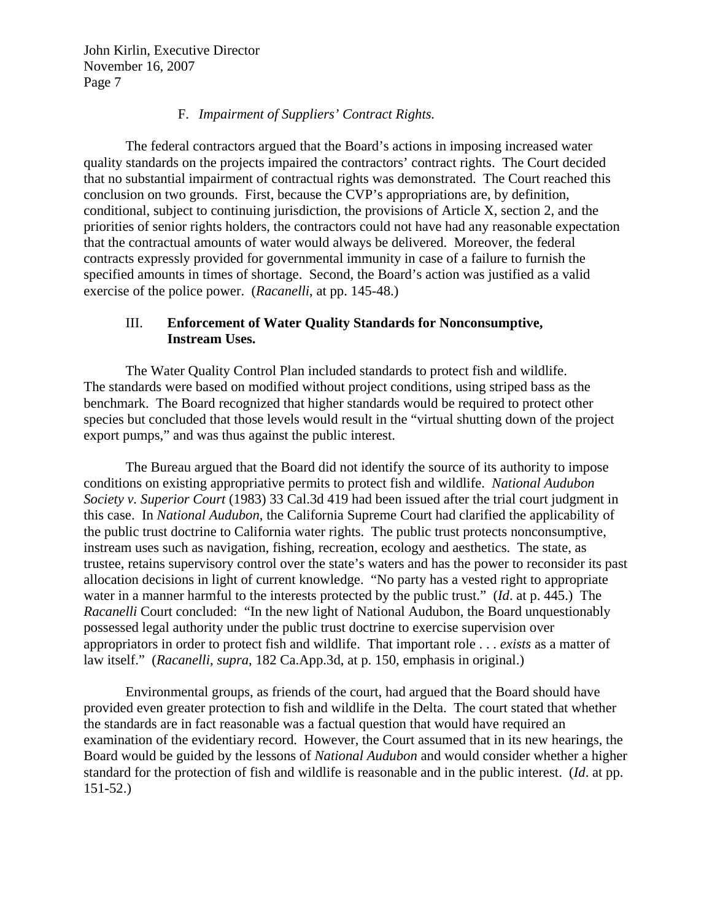## F. *Impairment of Suppliers' Contract Rights.*

 The federal contractors argued that the Board's actions in imposing increased water quality standards on the projects impaired the contractors' contract rights. The Court decided that no substantial impairment of contractual rights was demonstrated. The Court reached this conclusion on two grounds. First, because the CVP's appropriations are, by definition, conditional, subject to continuing jurisdiction, the provisions of Article X, section 2, and the priorities of senior rights holders, the contractors could not have had any reasonable expectation that the contractual amounts of water would always be delivered. Moreover, the federal contracts expressly provided for governmental immunity in case of a failure to furnish the specified amounts in times of shortage. Second, the Board's action was justified as a valid exercise of the police power. (*Racanelli*, at pp. 145-48.)

# III. **Enforcement of Water Quality Standards for Nonconsumptive, Instream Uses.**

The Water Quality Control Plan included standards to protect fish and wildlife. The standards were based on modified without project conditions, using striped bass as the benchmark. The Board recognized that higher standards would be required to protect other species but concluded that those levels would result in the "virtual shutting down of the project export pumps," and was thus against the public interest.

 The Bureau argued that the Board did not identify the source of its authority to impose conditions on existing appropriative permits to protect fish and wildlife. *National Audubon Society v. Superior Court* (1983) 33 Cal.3d 419 had been issued after the trial court judgment in this case. In *National Audubon*, the California Supreme Court had clarified the applicability of the public trust doctrine to California water rights. The public trust protects nonconsumptive, instream uses such as navigation, fishing, recreation, ecology and aesthetics. The state, as trustee, retains supervisory control over the state's waters and has the power to reconsider its past allocation decisions in light of current knowledge. "No party has a vested right to appropriate water in a manner harmful to the interests protected by the public trust." (*Id*. at p. 445.) The *Racanelli* Court concluded: "In the new light of National Audubon, the Board unquestionably possessed legal authority under the public trust doctrine to exercise supervision over appropriators in order to protect fish and wildlife. That important role . . . *exists* as a matter of law itself." (*Racanelli*, *supra*, 182 Ca.App.3d, at p. 150, emphasis in original.)

 Environmental groups, as friends of the court, had argued that the Board should have provided even greater protection to fish and wildlife in the Delta. The court stated that whether the standards are in fact reasonable was a factual question that would have required an examination of the evidentiary record. However, the Court assumed that in its new hearings, the Board would be guided by the lessons of *National Audubon* and would consider whether a higher standard for the protection of fish and wildlife is reasonable and in the public interest. (*Id*. at pp. 151-52.)